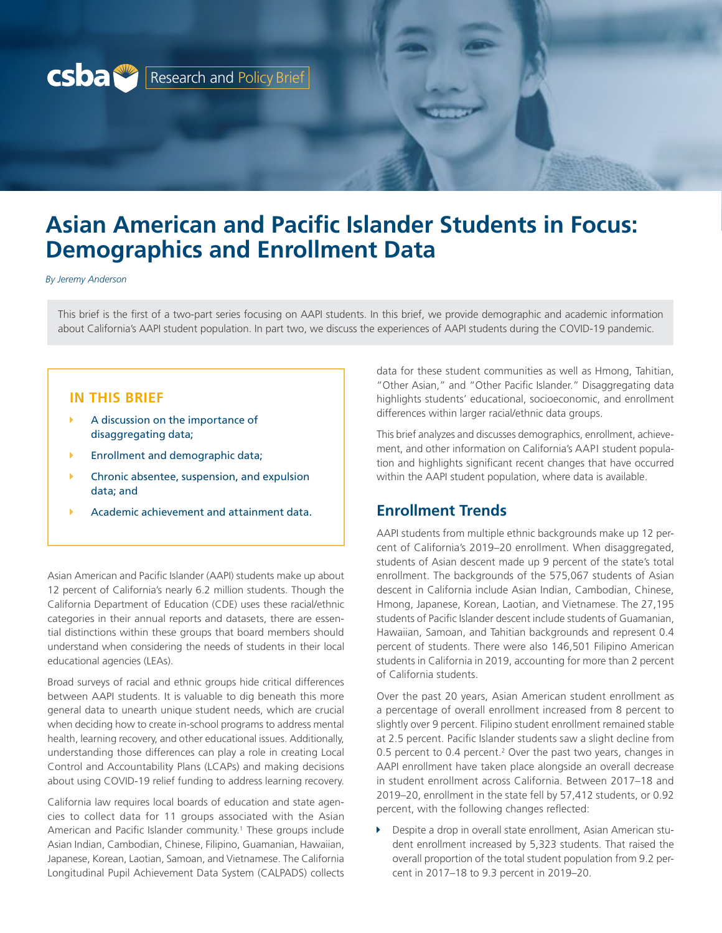<span id="page-0-0"></span>

# **Asian American and Pacific Islander Students in Focus: Demographics and Enrollment Data**

*By Jeremy Anderson*

This brief is the first of a two-part series focusing on AAPI students. In this brief, we provide demographic and academic information about California's AAPI student population. In part two, we discuss the experiences of AAPI students during the COVID-19 pandemic.

#### **IN THIS BRIEF**

- A discussion on the importance of disaggregating data;
- **Enrollment and demographic data;**
- Chronic absentee, suspension, and expulsion data; and
- Academic achievement and attainment data.

Asian American and Pacific Islander (AAPI) students make up about 12 percent of California's nearly 6.2 million students. Though the California Department of Education (CDE) uses these racial/ethnic categories in their annual reports and datasets, there are essential distinctions within these groups that board members should understand when considering the needs of students in their local educational agencies (LEAs).

Broad surveys of racial and ethnic groups hide critical differences between AAPI students. It is valuable to dig beneath this more general data to unearth unique student needs, which are crucial when deciding how to create in-school programs to address mental health, learning recovery, and other educational issues. Additionally, understanding those differences can play a role in creating Local Control and Accountability Plans (LCAPs) and making decisions about using COVID-19 relief funding to address learning recovery.

California law requires local boards of education and state agencies to collect data for 11 groups associated with the Asian American and Pacific Islander community.<sup>1</sup> These groups include Asian Indian, Cambodian, Chinese, Filipino, Guamanian, Hawaiian, Japanese, Korean, Laotian, Samoan, and Vietnamese. The California Longitudinal Pupil Achievement Data System (CALPADS) collects

data for these student communities as well as Hmong, Tahitian, "Other Asian," and "Other Pacific Islander." Disaggregating data highlights students' educational, socioeconomic, and enrollment differences within larger racial/ethnic data groups.

This brief analyzes and discusses demographics, enrollment, achievement, and other information on California's AAPI student population and highlights significant recent changes that have occurred within the AAPI student population, where data is available.

#### **Enrollment Trends**

AAPI students from multiple ethnic backgrounds make up 12 percent of California's 2019–20 enrollment. When disaggregated, students of Asian descent made up 9 percent of the state's total enrollment. The backgrounds of the 575,067 students of Asian descent in California include Asian Indian, Cambodian, Chinese, Hmong, Japanese, Korean, Laotian, and Vietnamese. The 27,195 students of Pacific Islander descent include students of Guamanian, Hawaiian, Samoan, and Tahitian backgrounds and represent 0.4 percent of students. There were also 146,501 Filipino American students in California in 2019, accounting for more than 2 percent of California students.

Over the past 20 years, Asian American student enrollment as a percentage of overall enrollment increased from 8 percent to slightly over 9 percent. Filipino student enrollment remained stable at 2.5 percent. Pacific Islander students saw a slight decline from 0.5 percent to 0.4 percent.<sup>[2](#page-7-0)</sup> Over the past two years, changes in AAPI enrollment have taken place alongside an overall decrease in student enrollment across California. Between 2017–18 and 2019–20, enrollment in the state fell by 57,412 students, or 0.92 percent, with the following changes reflected:

**Despite a drop in overall state enrollment, Asian American stu**dent enrollment increased by 5,323 students. That raised the overall proportion of the total student population from 9.2 percent in 2017–18 to 9.3 percent in 2019–20.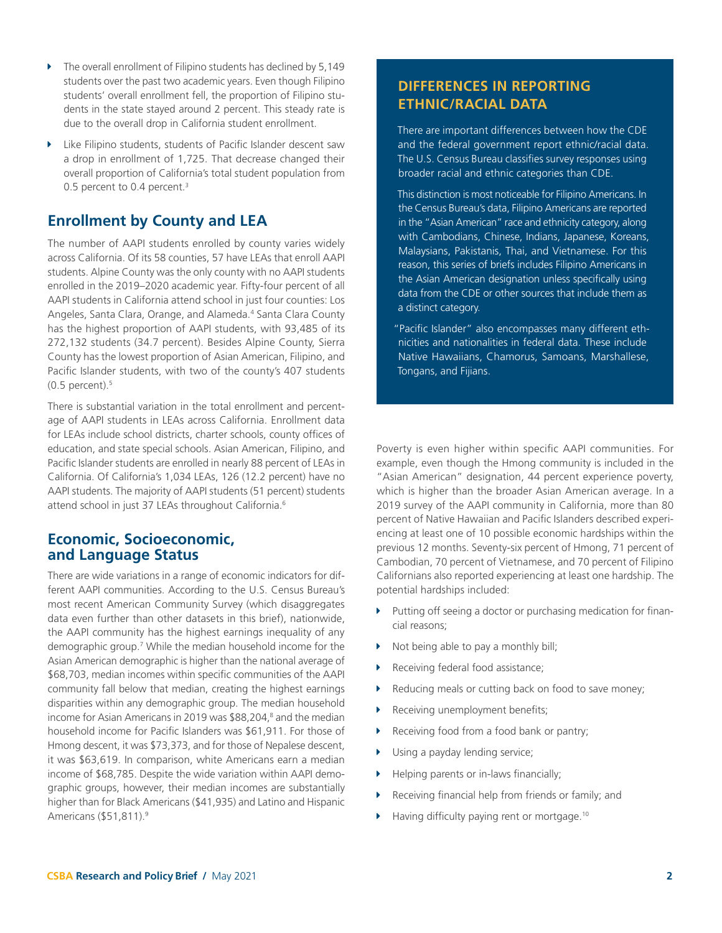- <span id="page-1-0"></span>The overall enrollment of Filipino students has declined by 5,149 students over the past two academic years. Even though Filipino students' overall enrollment fell, the proportion of Filipino students in the state stayed around 2 percent. This steady rate is due to the overall drop in California student enrollment.
- $\blacktriangleright$  Like Filipino students, students of Pacific Islander descent saw a drop in enrollment of 1,725. That decrease changed their overall proportion of California's total student population from 0.5 percent to 0.4 percent.<sup>3</sup>

# **Enrollment by County and LEA**

The number of AAPI students enrolled by county varies widely across California. Of its 58 counties, 57 have LEAs that enroll AAPI students. Alpine County was the only county with no AAPI students enrolled in the 2019–2020 academic year. Fifty-four percent of all AAPI students in California attend school in just four counties: Los Angeles, Santa Clara, Orange, and Alameda.<sup>[4](#page-7-0)</sup> Santa Clara County has the highest proportion of AAPI students, with 93,485 of its 272,132 students (34.7 percent). Besides Alpine County, Sierra County has the lowest proportion of Asian American, Filipino, and Pacific Islander students, with two of the county's 407 students  $(0.5$  $(0.5$  percent). $5$ 

There is substantial variation in the total enrollment and percentage of AAPI students in LEAs across California. Enrollment data for LEAs include school districts, charter schools, county offices of education, and state special schools. Asian American, Filipino, and Pacific Islander students are enrolled in nearly 88 percent of LEAs in California. Of California's 1,034 LEAs, 126 (12.2 percent) have no AAPI students. The majority of AAPI students (51 percent) students attend school in just 37 LEAs throughout California.<sup>[6](#page-7-0)</sup>

#### **Economic, Socioeconomic, and Language Status**

There are wide variations in a range of economic indicators for different AAPI communities. According to the U.S. Census Bureau's most recent American Community Survey (which disaggregates data even further than other datasets in this brief), nationwide, the AAPI community has the highest earnings inequality of any demographic group.[7](#page-7-0) While the median household income for the Asian American demographic is higher than the national average of \$68,703, median incomes within specific communities of the AAPI community fall below that median, creating the highest earnings disparities within any demographic group. The median household income for Asian Americans in 2019 was \$88,204,<sup>8</sup> and the median household income for Pacific Islanders was \$61,911. For those of Hmong descent, it was \$73,373, and for those of Nepalese descent, it was \$63,619. In comparison, white Americans earn a median income of \$68,785. Despite the wide variation within AAPI demographic groups, however, their median incomes are substantially higher than for Black Americans (\$41,935) and Latino and Hispanic Americans (\$51,811).<sup>9</sup>

## **DIFFERENCES IN REPORTING ETHNIC/RACIAL DATA**

There are important differences between how the CDE and the federal government report ethnic/racial data. The U.S. Census Bureau classifies survey responses using broader racial and ethnic categories than CDE.

This distinction is most noticeable for Filipino Americans. In the Census Bureau's data, Filipino Americans are reported in the "Asian American" race and ethnicity category, along with Cambodians, Chinese, Indians, Japanese, Koreans, Malaysians, Pakistanis, Thai, and Vietnamese. For this reason, this series of briefs includes Filipino Americans in the Asian American designation unless specifically using data from the CDE or other sources that include them as a distinct category.

"Pacific Islander" also encompasses many different ethnicities and nationalities in federal data. These include Native Hawaiians, Chamorus, Samoans, Marshallese, Tongans, and Fijians.

Poverty is even higher within specific AAPI communities. For example, even though the Hmong community is included in the "Asian American" designation, 44 percent experience poverty, which is higher than the broader Asian American average. In a 2019 survey of the AAPI community in California, more than 80 percent of Native Hawaiian and Pacific Islanders described experiencing at least one of 10 possible economic hardships within the previous 12 months. Seventy-six percent of Hmong, 71 percent of Cambodian, 70 percent of Vietnamese, and 70 percent of Filipino Californians also reported experiencing at least one hardship. The potential hardships included:

- $\blacktriangleright$  Putting off seeing a doctor or purchasing medication for financial reasons;
- $\triangleright$  Not being able to pay a monthly bill;
- Receiving federal food assistance;
- Reducing meals or cutting back on food to save money;
- Receiving unemployment benefits;
- Receiving food from a food bank or pantry;
- Using a payday lending service;
- Helping parents or in-laws financially;
- $\blacktriangleright$  Receiving financial help from friends or family; and
- $\blacktriangleright$  Having difficulty paying rent or mortgage.<sup>[10](#page-7-0)</sup>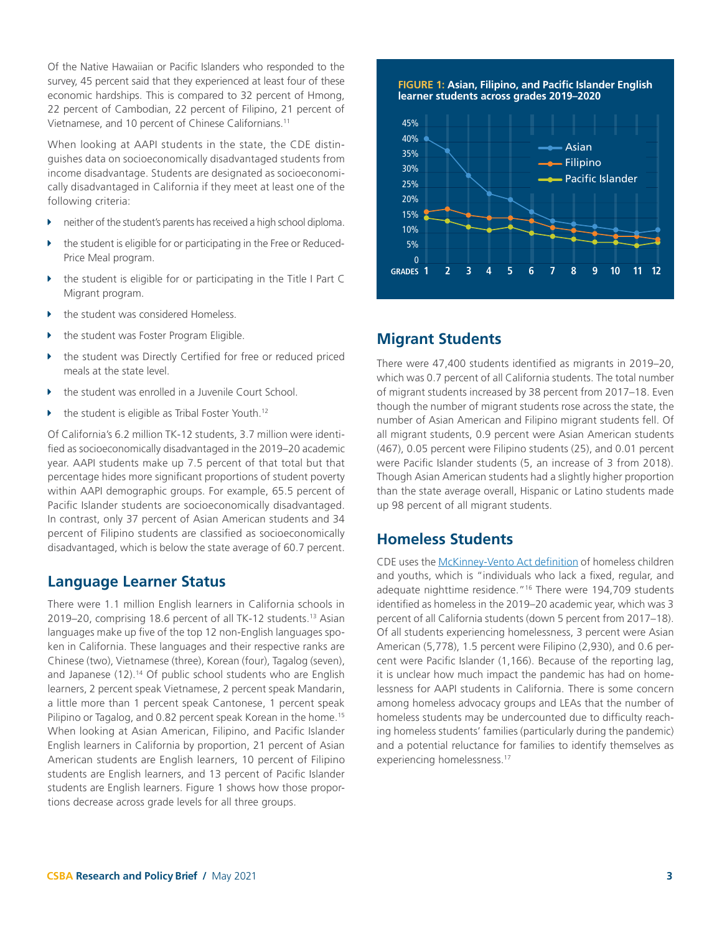<span id="page-2-0"></span>Of the Native Hawaiian or Pacific Islanders who responded to the survey, 45 percent said that they experienced at least four of these economic hardships. This is compared to 32 percent of Hmong, 22 percent of Cambodian, 22 percent of Filipino, 21 percent of Vietnamese, and 10 percent of Chinese Californians[.11](#page-7-0)

When looking at AAPI students in the state, the CDE distinguishes data on socioeconomically disadvantaged students from income disadvantage. Students are designated as socioeconomically disadvantaged in California if they meet at least one of the following criteria:

- $\triangleright$  neither of the student's parents has received a high school diploma.
- the student is eligible for or participating in the Free or Reduced-Price Meal program.
- the student is eligible for or participating in the Title I Part C Migrant program.
- the student was considered Homeless.
- the student was Foster Program Eligible.
- the student was Directly Certified for free or reduced priced meals at the state level.
- the student was enrolled in a Juvenile Court School.
- the student is eligible as Tribal Foster Youth.<sup>[12](#page-7-0)</sup>

Of California's 6.2 million TK-12 students, 3.7 million were identified as socioeconomically disadvantaged in the 2019–20 academic year. AAPI students make up 7.5 percent of that total but that percentage hides more significant proportions of student poverty within AAPI demographic groups. For example, 65.5 percent of Pacific Islander students are socioeconomically disadvantaged. In contrast, only 37 percent of Asian American students and 34 percent of Filipino students are classified as socioeconomically disadvantaged, which is below the state average of 60.7 percent.

#### **Language Learner Status**

There were 1.1 million English learners in California schools in 2019–20, comprising 18.6 percent of all TK-12 students.<sup>13</sup> Asian languages make up five of the top 12 non-English languages spoken in California. These languages and their respective ranks are Chinese (two), Vietnamese (three), Korean (four), Tagalog (seven), and Japanese (12).<sup>14</sup> Of public school students who are English learners, 2 percent speak Vietnamese, 2 percent speak Mandarin, a little more than 1 percent speak Cantonese, 1 percent speak Pilipino or Tagalog, and 0.82 percent speak Korean in the home.<sup>[15](#page-7-0)</sup> When looking at Asian American, Filipino, and Pacific Islander English learners in California by proportion, 21 percent of Asian American students are English learners, 10 percent of Filipino students are English learners, and 13 percent of Pacific Islander students are English learners. Figure 1 shows how those proportions decrease across grade levels for all three groups.



## **Migrant Students**

There were 47,400 students identified as migrants in 2019–20, which was 0.7 percent of all California students. The total number of migrant students increased by 38 percent from 2017–18. Even though the number of migrant students rose across the state, the number of Asian American and Filipino migrant students fell. Of all migrant students, 0.9 percent were Asian American students (467), 0.05 percent were Filipino students (25), and 0.01 percent were Pacific Islander students (5, an increase of 3 from 2018). Though Asian American students had a slightly higher proportion than the state average overall, Hispanic or Latino students made up 98 percent of all migrant students.

#### **Homeless Students**

CDE uses the [McKinney-Vento Act definition](https://www.cde.ca.gov/sp/hs/homelessdef.asp) of homeless children and youths, which is "individuals who lack a fixed, regular, and adequate nighttime residence.["16](#page-7-0) There were 194,709 students identified as homeless in the 2019–20 academic year, which was 3 percent of all California students (down 5 percent from 2017–18). Of all students experiencing homelessness, 3 percent were Asian American (5,778), 1.5 percent were Filipino (2,930), and 0.6 percent were Pacific Islander (1,166). Because of the reporting lag, it is unclear how much impact the pandemic has had on homelessness for AAPI students in California. There is some concern among homeless advocacy groups and LEAs that the number of homeless students may be undercounted due to difficulty reaching homeless students' families (particularly during the pandemic) and a potential reluctance for families to identify themselves as experiencing homelessness.[17](#page-7-0)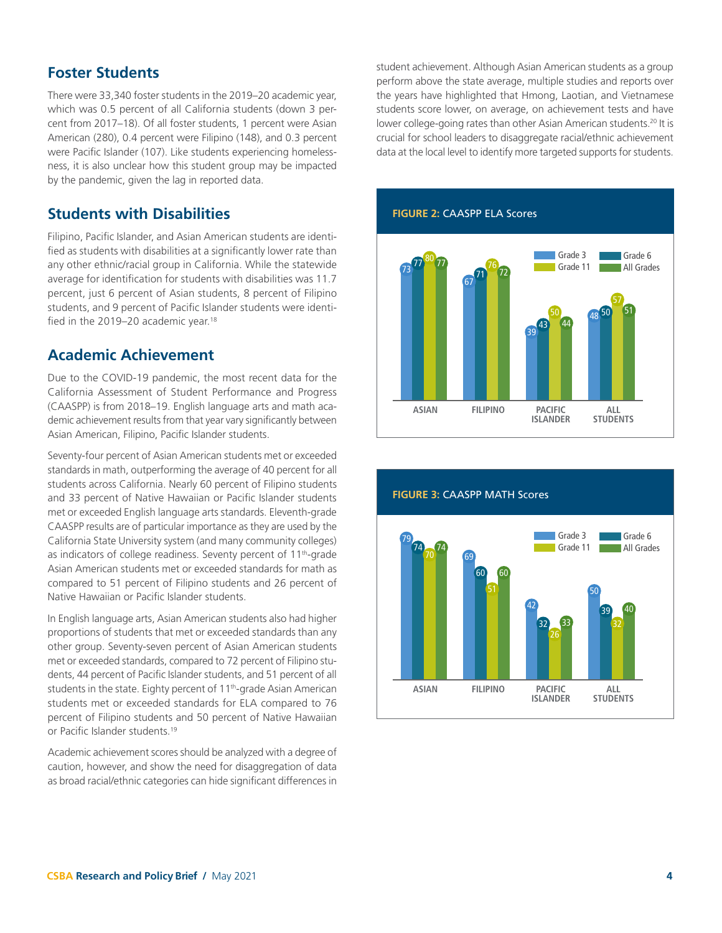#### <span id="page-3-0"></span>**Foster Students**

There were 33,340 foster students in the 2019–20 academic year, which was 0.5 percent of all California students (down 3 percent from 2017–18). Of all foster students, 1 percent were Asian American (280), 0.4 percent were Filipino (148), and 0.3 percent were Pacific Islander (107). Like students experiencing homelessness, it is also unclear how this student group may be impacted by the pandemic, given the lag in reported data.

#### **Students with Disabilities**

Filipino, Pacific Islander, and Asian American students are identified as students with disabilities at a significantly lower rate than any other ethnic/racial group in California. While the statewide average for identification for students with disabilities was 11.7 percent, just 6 percent of Asian students, 8 percent of Filipino students, and 9 percent of Pacific Islander students were identified in the 2019–20 academic year.<sup>18</sup>

## **Academic Achievement**

Due to the COVID-19 pandemic, the most recent data for the California Assessment of Student Performance and Progress (CAASPP) is from 2018–19. English language arts and math academic achievement results from that year vary significantly between Asian American, Filipino, Pacific Islander students.

Seventy-four percent of Asian American students met or exceeded standards in math, outperforming the average of 40 percent for all students across California. Nearly 60 percent of Filipino students and 33 percent of Native Hawaiian or Pacific Islander students met or exceeded English language arts standards. Eleventh-grade CAASPP results are of particular importance as they are used by the California State University system (and many community colleges) as indicators of college readiness. Seventy percent of 11<sup>th</sup>-grade Asian American students met or exceeded standards for math as compared to 51 percent of Filipino students and 26 percent of Native Hawaiian or Pacific Islander students.

In English language arts, Asian American students also had higher proportions of students that met or exceeded standards than any other group. Seventy-seven percent of Asian American students met or exceeded standards, compared to 72 percent of Filipino students, 44 percent of Pacific Islander students, and 51 percent of all students in the state. Eighty percent of 11<sup>th</sup>-grade Asian American students met or exceeded standards for ELA compared to 76 percent of Filipino students and 50 percent of Native Hawaiian or Pacific Islander students.[19](#page-7-0)

Academic achievement scores should be analyzed with a degree of caution, however, and show the need for disaggregation of data as broad racial/ethnic categories can hide significant differences in student achievement. Although Asian American students as a group perform above the state average, multiple studies and reports over the years have highlighted that Hmong, Laotian, and Vietnamese students score lower, on average, on achievement tests and have lower college-going rates than other Asian American students.<sup>20</sup> It is crucial for school leaders to disaggregate racial/ethnic achievement data at the local level to identify more targeted supports for students.



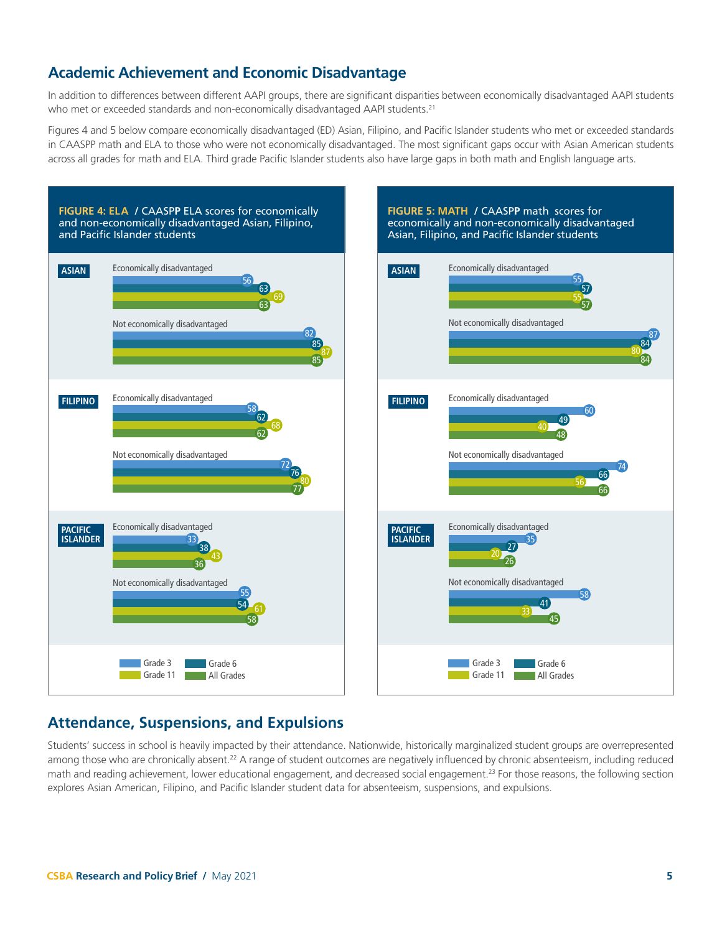# <span id="page-4-0"></span>**Academic Achievement and Economic Disadvantage**

In addition to differences between different AAPI groups, there are significant disparities between economically disadvantaged AAPI students who met or exceeded standards and non-economically disadvantaged AAPI students.<sup>[21](#page-7-0)</sup>

Figures 4 and 5 below compare economically disadvantaged (ED) Asian, Filipino, and Pacific Islander students who met or exceeded standards in CAASPP math and ELA to those who were not economically disadvantaged. The most significant gaps occur with Asian American students across all grades for math and ELA. Third grade Pacific Islander students also have large gaps in both math and English language arts.



# **Attendance, Suspensions, and Expulsions**

Students' success in school is heavily impacted by their attendance. Nationwide, historically marginalized student groups are overrepresented among those who are chronically absent.<sup>22</sup> A range of student outcomes are negatively influenced by chronic absenteeism, including reduced math and reading achievement, lower educational engagement, and decreased social engagement.<sup>[23](#page-7-0)</sup> For those reasons, the following section explores Asian American, Filipino, and Pacific Islander student data for absenteeism, suspensions, and expulsions.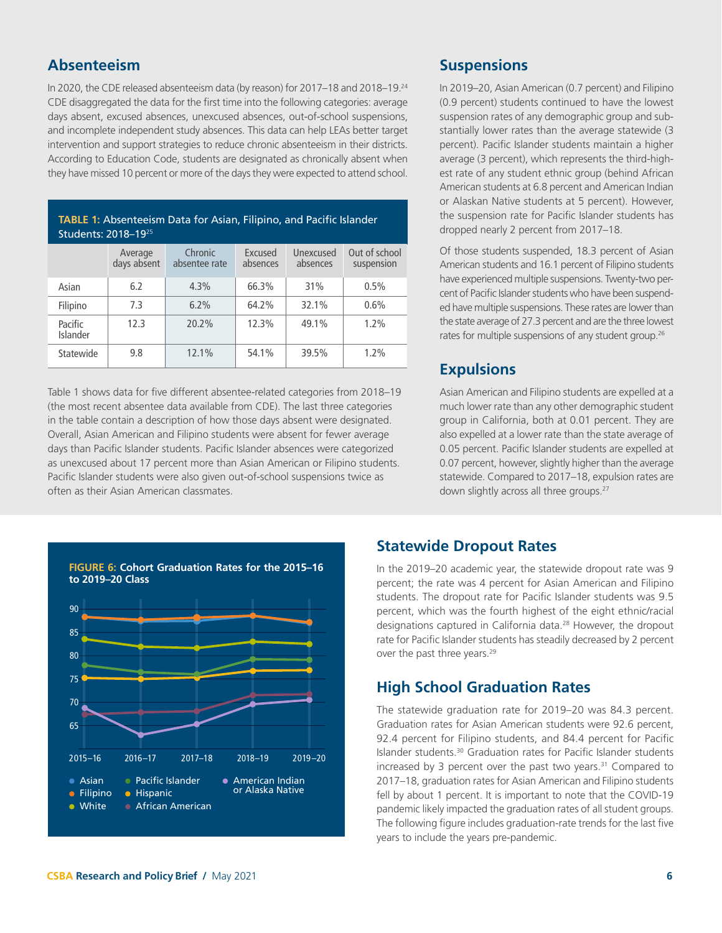#### <span id="page-5-0"></span>**Absenteeism**

In 2020, the CDE released absenteeism data (by reason) for 2017–18 and 2018–19.<sup>24</sup> CDE disaggregated the data for the first time into the following categories: average days absent, excused absences, unexcused absences, out-of-school suspensions, and incomplete independent study absences. This data can help LEAs better target intervention and support strategies to reduce chronic absenteeism in their districts. According to Education Code, students are designated as chronically absent when they have missed 10 percent or more of the days they were expected to attend school.

| <b>TABLE 1:</b> Absenteeism Data for Asian, Filipino, and Pacific Islander<br>Students: 2018-1925 |                        |                          |                     |                       |                             |
|---------------------------------------------------------------------------------------------------|------------------------|--------------------------|---------------------|-----------------------|-----------------------------|
|                                                                                                   | Average<br>days absent | Chronic<br>absentee rate | Excused<br>absences | Unexcused<br>absences | Out of school<br>suspension |
| Asian                                                                                             | 6.2                    | 4.3%                     | 66.3%               | 31%                   | 0.5%                        |
| Filipino                                                                                          | 7.3                    | 6.2%                     | 64.2%               | 32.1%                 | 0.6%                        |
| Pacific<br>Islander                                                                               | 12.3                   | 20.2%                    | 12.3%               | 49.1%                 | 1.2%                        |
| Statewide                                                                                         | 9.8                    | 12.1%                    | 54.1%               | 39.5%                 | 1.2%                        |

Table 1 shows data for five different absentee-related categories from 2018–19 (the most recent absentee data available from CDE). The last three categories in the table contain a description of how those days absent were designated. Overall, Asian American and Filipino students were absent for fewer average days than Pacific Islander students. Pacific Islander absences were categorized as unexcused about 17 percent more than Asian American or Filipino students. Pacific Islander students were also given out-of-school suspensions twice as often as their Asian American classmates.

# **Suspensions**

In 2019–20, Asian American (0.7 percent) and Filipino (0.9 percent) students continued to have the lowest suspension rates of any demographic group and substantially lower rates than the average statewide (3 percent). Pacific Islander students maintain a higher average (3 percent), which represents the third-highest rate of any student ethnic group (behind African American students at 6.8 percent and American Indian or Alaskan Native students at 5 percent). However, the suspension rate for Pacific Islander students has dropped nearly 2 percent from 2017–18.

Of those students suspended, 18.3 percent of Asian American students and 16.1 percent of Filipino students have experienced multiple suspensions. Twenty-two percent of Pacific Islander students who have been suspended have multiple suspensions. These rates are lower than the state average of 27.3 percent and are the three lowest rates for multiple suspensions of any student group.<sup>26</sup>

# **Expulsions**

Asian American and Filipino students are expelled at a much lower rate than any other demographic student group in California, both at 0.01 percent. They are also expelled at a lower rate than the state average of 0.05 percent. Pacific Islander students are expelled at 0.07 percent, however, slightly higher than the average statewide. Compared to 2017–18, expulsion rates are down slightly across all three groups.<sup>27</sup>



# **Statewide Dropout Rates**

In the 2019–20 academic year, the statewide dropout rate was 9 percent; the rate was 4 percent for Asian American and Filipino students. The dropout rate for Pacific Islander students was 9.5 percent, which was the fourth highest of the eight ethnic/racial designations captured in California data.<sup>28</sup> However, the dropout rate for Pacific Islander students has steadily decreased by 2 percent over the past three years.<sup>29</sup>

# **High School Graduation Rates**

The statewide graduation rate for 2019–20 was 84.3 percent. Graduation rates for Asian American students were 92.6 percent, 92.4 percent for Filipino students, and 84.4 percent for Pacific Islander students[.30](#page-7-0) Graduation rates for Pacific Islander students increased by 3 percent over the past two years. $31$  Compared to 2017–18, graduation rates for Asian American and Filipino students fell by about 1 percent. It is important to note that the COVID-19 pandemic likely impacted the graduation rates of all student groups. The following figure includes graduation-rate trends for the last five years to include the years pre-pandemic.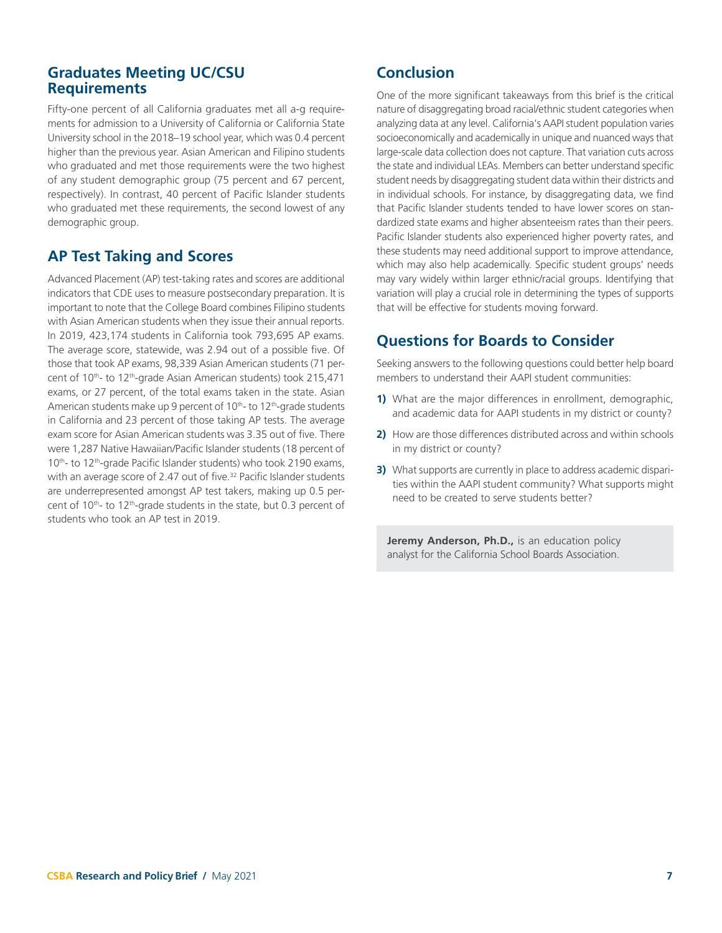#### <span id="page-6-0"></span>**Graduates Meeting UC/CSU Requirements**

Fifty-one percent of all California graduates met all a-g requirements for admission to a University of California or California State University school in the 2018–19 school year, which was 0.4 percent higher than the previous year. Asian American and Filipino students who graduated and met those requirements were the two highest of any student demographic group (75 percent and 67 percent, respectively). In contrast, 40 percent of Pacific Islander students who graduated met these requirements, the second lowest of any demographic group.

# **AP Test Taking and Scores**

Advanced Placement (AP) test-taking rates and scores are additional indicators that CDE uses to measure postsecondary preparation. It is important to note that the College Board combines Filipino students with Asian American students when they issue their annual reports. In 2019, 423,174 students in California took 793,695 AP exams. The average score, statewide, was 2.94 out of a possible five. Of those that took AP exams, 98,339 Asian American students (71 percent of 10<sup>th</sup>- to 12<sup>th</sup>-grade Asian American students) took 215,471 exams, or 27 percent, of the total exams taken in the state. Asian American students make up 9 percent of  $10<sup>th</sup>$ - to  $12<sup>th</sup>$ -grade students in California and 23 percent of those taking AP tests. The average exam score for Asian American students was 3.35 out of five. There were 1,287 Native Hawaiian/Pacific Islander students (18 percent of 10<sup>th</sup>- to 12<sup>th</sup>-grade Pacific Islander students) who took 2190 exams, with an average score of 2.47 out of five.<sup>32</sup> Pacific Islander students are underrepresented amongst AP test takers, making up 0.5 percent of  $10<sup>th</sup>$ - to  $12<sup>th</sup>$ -grade students in the state, but 0.3 percent of students who took an AP test in 2019.

# **Conclusion**

One of the more significant takeaways from this brief is the critical nature of disaggregating broad racial/ethnic student categories when analyzing data at any level. California's AAPI student population varies socioeconomically and academically in unique and nuanced ways that large-scale data collection does not capture. That variation cuts across the state and individual LEAs. Members can better understand specific student needs by disaggregating student data within their districts and in individual schools. For instance, by disaggregating data, we find that Pacific Islander students tended to have lower scores on standardized state exams and higher absenteeism rates than their peers. Pacific Islander students also experienced higher poverty rates, and these students may need additional support to improve attendance, which may also help academically. Specific student groups' needs may vary widely within larger ethnic/racial groups. Identifying that variation will play a crucial role in determining the types of supports that will be effective for students moving forward.

# **Questions for Boards to Consider**

Seeking answers to the following questions could better help board members to understand their AAPI student communities:

- **1)** What are the major differences in enrollment, demographic, and academic data for AAPI students in my district or county?
- **2)** How are those differences distributed across and within schools in my district or county?
- **3)** What supports are currently in place to address academic disparities within the AAPI student community? What supports might need to be created to serve students better?

**Jeremy Anderson, Ph.D.,** is an education policy analyst for the California School Boards Association.